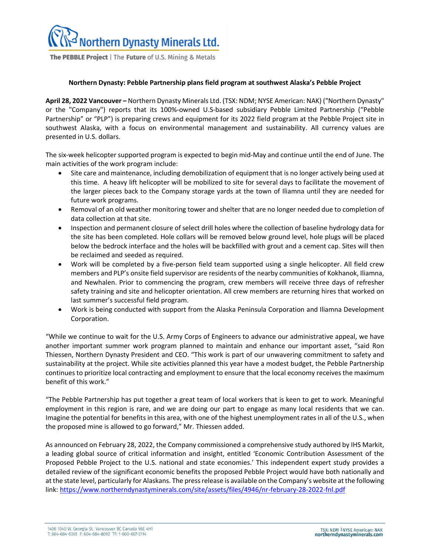

The PEBBLE Project | The Future of U.S. Mining & Metals

## **Northern Dynasty: Pebble Partnership plans field program at southwest Alaska's Pebble Project**

**April 28, 2022 Vancouver –** Northern Dynasty Minerals Ltd. (TSX: NDM; NYSE American: NAK) ("Northern Dynasty" or the "Company") reports that its 100%-owned U.S-based subsidiary Pebble Limited Partnership ("Pebble Partnership" or "PLP") is preparing crews and equipment for its 2022 field program at the Pebble Project site in southwest Alaska, with a focus on environmental management and sustainability. All currency values are presented in U.S. dollars.

The six-week helicopter supported program is expected to begin mid-May and continue until the end of June. The main activities of the work program include:

- Site care and maintenance, including demobilization of equipment that is no longer actively being used at this time. A heavy lift helicopter will be mobilized to site for several days to facilitate the movement of the larger pieces back to the Company storage yards at the town of Iliamna until they are needed for future work programs.
- Removal of an old weather monitoring tower and shelter that are no longer needed due to completion of data collection at that site.
- Inspection and permanent closure of select drill holes where the collection of baseline hydrology data for the site has been completed. Hole collars will be removed below ground level, hole plugs will be placed below the bedrock interface and the holes will be backfilled with grout and a cement cap. Sites will then be reclaimed and seeded as required.
- Work will be completed by a five-person field team supported using a single helicopter. All field crew members and PLP's onsite field supervisor are residents of the nearby communities of Kokhanok, Iliamna, and Newhalen. Prior to commencing the program, crew members will receive three days of refresher safety training and site and helicopter orientation. All crew members are returning hires that worked on last summer's successful field program.
- Work is being conducted with support from the Alaska Peninsula Corporation and Iliamna Development Corporation.

"While we continue to wait for the U.S. Army Corps of Engineers to advance our administrative appeal, we have another important summer work program planned to maintain and enhance our important asset, "said Ron Thiessen, Northern Dynasty President and CEO. "This work is part of our unwavering commitment to safety and sustainability at the project. While site activities planned this year have a modest budget, the Pebble Partnership continues to prioritize local contracting and employment to ensure that the local economy receives the maximum benefit of this work."

"The Pebble Partnership has put together a great team of local workers that is keen to get to work. Meaningful employment in this region is rare, and we are doing our part to engage as many local residents that we can. Imagine the potential for benefits in this area, with one of the highest unemployment rates in all of the U.S., when the proposed mine is allowed to go forward," Mr. Thiessen added.

As announced on February 28, 2022, the Company commissioned a comprehensive study authored by IHS Markit, a leading global source of critical information and insight, entitled 'Economic Contribution Assessment of the Proposed Pebble Project to the U.S. national and state economies.' This independent expert study provides a detailed review of the significant economic benefits the proposed Pebble Project would have both nationally and at the state level, particularly for Alaskans. The press release is available on the Company's website at the following link:<https://www.northerndynastyminerals.com/site/assets/files/4946/nr-february-28-2022-fnl.pdf>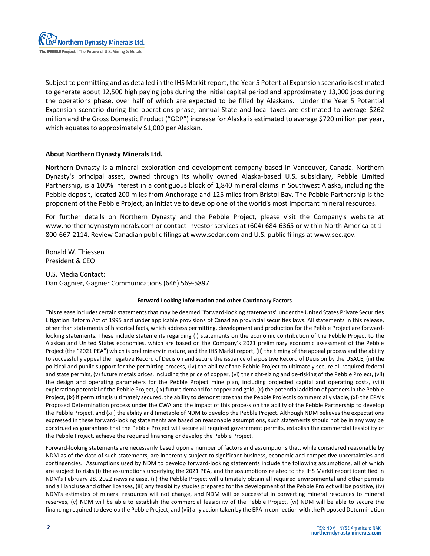

Subject to permitting and as detailed in the IHS Markit report, the Year 5 Potential Expansion scenario is estimated to generate about 12,500 high paying jobs during the initial capital period and approximately 13,000 jobs during the operations phase, over half of which are expected to be filled by Alaskans. Under the Year 5 Potential Expansion scenario during the operations phase, annual State and local taxes are estimated to average \$262 million and the Gross Domestic Product ("GDP") increase for Alaska is estimated to average \$720 million per year, which equates to approximately \$1,000 per Alaskan.

## **About Northern Dynasty Minerals Ltd.**

Northern Dynasty is a mineral exploration and development company based in Vancouver, Canada. Northern Dynasty's principal asset, owned through its wholly owned Alaska-based U.S. subsidiary, Pebble Limited Partnership, is a 100% interest in a contiguous block of 1,840 mineral claims in Southwest Alaska, including the Pebble deposit, located 200 miles from Anchorage and 125 miles from Bristol Bay. The Pebble Partnership is the proponent of the Pebble Project, an initiative to develop one of the world's most important mineral resources.

For further details on Northern Dynasty and the Pebble Project, please visit the Company's website at www.northerndynastyminerals.com or contact Investor services at (604) 684-6365 or within North America at 1- 800-667-2114. Review Canadian public filings at www.sedar.com and U.S. public filings at www.sec.gov.

Ronald W. Thiessen President & CEO

U.S. Media Contact: Dan Gagnier, Gagnier Communications (646) 569-5897

## **Forward Looking Information and other Cautionary Factors**

This release includes certain statements that may be deemed "forward-looking statements" under the United States Private Securities Litigation Reform Act of 1995 and under applicable provisions of Canadian provincial securities laws. All statements in this release, other than statements of historical facts, which address permitting, development and production for the Pebble Project are forwardlooking statements. These include statements regarding (i) statements on the economic contribution of the Pebble Project to the Alaskan and United States economies, which are based on the Company's 2021 preliminary economic assessment of the Pebble Project (the "2021 PEA") which is preliminary in nature, and the IHS Markit report, (ii) the timing of the appeal process and the ability to successfully appeal the negative Record of Decision and secure the issuance of a positive Record of Decision by the USACE, (iii) the political and public support for the permitting process, (iv) the ability of the Pebble Project to ultimately secure all required federal and state permits, (v) future metals prices, including the price of copper, (vi) the right-sizing and de-risking of the Pebble Project, (vii) the design and operating parameters for the Pebble Project mine plan, including projected capital and operating costs, (viii) exploration potential of the Pebble Project, (ix) future demand for copper and gold, (x) the potential addition of partners in the Pebble Project, (ix) if permitting is ultimately secured, the ability to demonstrate that the Pebble Project is commercially viable, (xi) the EPA's Proposed Determination process under the CWA and the impact of this process on the ability of the Pebble Partnership to develop the Pebble Project, and (xii) the ability and timetable of NDM to develop the Pebble Project. Although NDM believes the expectations expressed in these forward-looking statements are based on reasonable assumptions, such statements should not be in any way be construed as guarantees that the Pebble Project will secure all required government permits, establish the commercial feasibility of the Pebble Project, achieve the required financing or develop the Pebble Project.

Forward-looking statements are necessarily based upon a number of factors and assumptions that, while considered reasonable by NDM as of the date of such statements, are inherently subject to significant business, economic and competitive uncertainties and contingencies. Assumptions used by NDM to develop forward-looking statements include the following assumptions, all of which are subject to risks (i) the assumptions underlying the 2021 PEA, and the assumptions related to the IHS Markit report identified in NDM's February 28, 2022 news release, (ii) the Pebble Project will ultimately obtain all required environmental and other permits and all land use and other licenses, (iii) any feasibility studies prepared for the development of the Pebble Project will be positive, (iv) NDM's estimates of mineral resources will not change, and NDM will be successful in converting mineral resources to mineral reserves, (v) NDM will be able to establish the commercial feasibility of the Pebble Project, (vi) NDM will be able to secure the financing required to develop the Pebble Project, and (vii) any action taken by the EPA in connection with the Proposed Determination